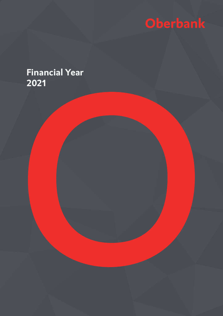

# **Financial Year 2021**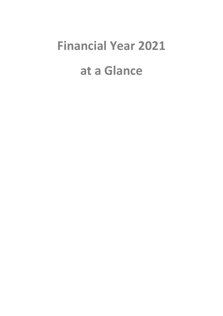# **Financial Year 2021 at a Glance**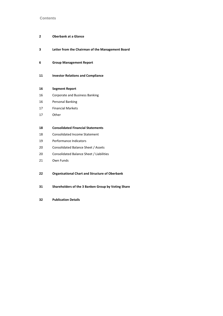#### **Contents**

# **Oberbank at a Glance**

- **Letter from the Chairman of the Management Board**
- **Group Management Report**

#### **Investor Relations and Compliance**

# **Segment Report**

- Corporate and Business Banking
- Personal Banking
- Financial Markets
- Other

#### **Consolidated Financial Statements**

- Consolidated Income Statement
- Performance Indicators
- Consolidated Balance Sheet / Assets
- Consolidated Balance Sheet / Liabilities
- Own Funds
- **Organisational Chart and Structure of Oberbank**
- **Shareholders of the 3 Banken Group by Voting Share**
- **Publication Details**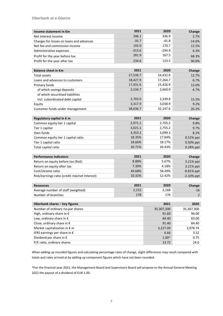| Income statement in €m                         | 2021     | 2020       | Change       |
|------------------------------------------------|----------|------------|--------------|
| Net interest income                            | 346.1    | 336.9      | 2.7%         |
| Charges for losses on loans and advances       | $-35.7$  | $-41.8$    | $-14.6%$     |
| Net fee and commission income                  | 192.0    | 170.7      | 12.5%        |
| Administrative expenses                        | $-313.6$ | $-294.9$   | 6.3%         |
| Profit for the year before tax                 | 281.9    | 167.5      | 68.3%        |
| Profit for the year after tax                  | 234.6    | 123.5      | 90.0%        |
|                                                |          |            |              |
| <b>Balance sheet in €m</b>                     | 2021     | 2020       | Change       |
| <b>Total assets</b>                            | 27,539.7 | 24,432.9   | 12.7%        |
| Loans and advances to customers                | 18,427.9 | 17,264.7   | 6.7%         |
| Primary funds                                  | 17,431.6 | 15,426.9   | 13.0%        |
| of which savings deposits                      | 2,534.7  | 2,660.9    | $-4.7%$      |
| of which securitised liabilities               |          |            |              |
| incl. subordinated debt capital                | 2,703.0  | 2,339.8    | 15.5%        |
| Equity                                         | 3,317.9  | 3,038.9    | 9.2%         |
| Customer funds under management                | 38,636.7 | 32,147.6   | 20.2%        |
|                                                |          |            |              |
| Regulatory capital in € m                      | 2021     | 2020       | Change       |
| Common equity tier 1 capital                   | 2,971.1  | 2,705.2    | 9.8%         |
| Tier 1 capital                                 | 3,021.1  | 2,755.2    | 9.7%         |
| Own funds                                      | 3,353.2  | 3,099.3    | 8.2%         |
| Common equity tier 1 capital ratio             | 18.35%   | 17.84%     | 0.52% ppt    |
| Tier 1 capital ratio                           | 18.66%   | 18.17%     | 0.50% ppt    |
| Total capital ratio                            | 20.71%   | 20.43%     | 0.28% ppt    |
|                                                |          |            |              |
| <b>Performance indicators</b>                  | 2021     | 2020       | Change       |
| Return on equity before tax (RoE)              | 8.88%    | 5.67%      | 3.21% ppt    |
| Return on equity after tax                     | 7.39%    | 4.18%      | 3.21% ppt    |
| Cost/income ratio                              | 49.68%   | 58.49%     | $-8.81%$ ppt |
| Risk/earnings ratio (credit risk/net interest) | 10.32%   | 12.42%     | $-2.10%$ ppt |
|                                                |          |            |              |
| <b>Resources</b>                               | 2021     | 2020       | Change       |
| Average number of staff (weighted)             | 2,152    | 2,168      | $-16$        |
| Number of branches                             | 178      | 176        | 2            |
|                                                |          |            |              |
| Oberbank shares - key figures                  |          | 2021       | 2020         |
| Number of ordinary no-par shares               |          | 35,307,300 | 35,307,300   |
| High, ordinary share in €                      |          | 91.60      | 96.00        |
| Low, ordinary share in €                       |          | 84.40      | 83.00        |
| Close, ordinary share in €                     |          | 91.40      | 84.40        |
| Market capitalization in € m                   |          | 3,227.09   | 2,978.74     |
| IFRS earnings per share in €                   |          | 6.66       | 3.52         |
| Dividend per share in $\epsilon$               |          | $1.00^{1}$ | 0.75         |
| P/E ratio, ordinary shares                     |          | 13.72      | 24.0         |

When adding up rounded figures and calculating percentage rates of change, slight differences may result compared with totals and rates arrived at by adding up component figures which have not been rounded.

1)For the financial year 2021, the Management Board and Supervisory Board will propose to the Annual General Meeting 2022 the payout of a dividend of EUR 1.00.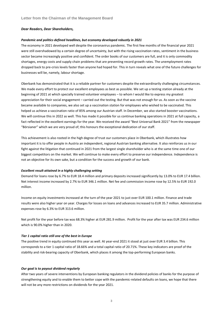#### *Dear Readers, Dear Shareholders,*

#### *Pandemic and politics defined headlines, but economy developed robustly in 2021*

The economy in 2021 developed well despite the coronavirus pandemic. The first few months of the financial year 2021 were still overshadowed by a certain degree of uncertainty, but with the rising vaccination rates, sentiment in the business sector became increasingly positive and confident. The order books of our customers are full, and it is only commodity shortages, energy costs and supply chain problems that are preventing record growth rates. The unemployment rates dropped back to pre-crisis levels faster than anyone had hoped for. This in turn reveals what one of the future challenges for businesses will be, namely, labour shortage.

Oberbank has demonstrated that it is a reliable partner for customers despite the extraordinarily challenging circumstances. We made every effort to protect our excellent employees as best as possible. We set up a testing station already at the beginning of 2021 at which specially trained volunteer employees – to whom I would like to express my greatest appreciation for their social engagement – carried out the testing. But that was not enough for us. As soon as the vaccine became available to companies, we also set up a vaccination station for employees who wished to be vaccinated. This helped us achieve a vaccination ratio of 85% among our Austrian staff. In December, we also started booster vaccinations. We will continue this in 2022 as well. This has made it possible for us continue banking operations in 2021 at full capacity, a fact reflected in the excellent earnings for the year. We received the award "Best Universal Bank 2021" from the newspaper "Börsianer" which we are very proud of; this honours the exceptional dedication of our staff.

This achievement is also rooted in the high degree of trust our customers place in Oberbank, which illustrates how important it is to offer people in Austria an independent, regional Austrian banking alternative. It also reinforces us in our fight against the litigation that continued in 2021 from the largest single shareholder who is at the same time one of our biggest competitors on the market. We will continue to make every effort to preserve our independence. Independence is not an objective for its own sake, but a condition for the success and growth of our bank.

#### *Excellent result attained in a highly challenging setting*

Demand for loans rose by 6.7% to EUR 18.4 million and primary deposits increased significantly by 13.0% to EUR 17.4 billion. Net interest income increased by 2.7% to EUR 346.1 million. Net fee and commission income rose by 12.5% to EUR 192.0 million.

Income on equity investments increased at the turn of the year 2021 to just over EUR 100.1 million. Finance and trade results were also higher year on year. Charges for losses on loans and advances increased to EUR 35.7 million. Administrative expenses rose by 6.3% to EUR 313.6 million.

Net profit for the year before tax was 68.3% higher at EUR 281.9 million. Profit for the year after tax was EUR 234.6 million which is 90.0% higher than in 2020.

#### *Tier 1 capital ratio still one of the best in Europe*

The positive trend in equity continued this year as well. At year-end 2021 it stood at just over EUR 3.4 billion. This corresponds to a tier 1 capital ratio of 18.66% and a total capital ratio of 20.71%. These key indicators are proof of the stability and risk-bearing capacity of Oberbank, which places it among the top-performing European banks.

#### *Our goal is to payout dividend regularly*

After two years of severe interventions by European banking regulators in the dividend policies of banks for the purpose of strengthening equity and to enable them to better cope with the pandemic-related defaults on loans, we hope that there will not be any more restrictions on dividends for the year 2021.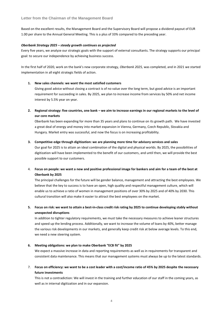Based on the excellent results, the Management Board and the Supervisory Board will propose a dividend payout of EUR 1.00 per share to the Annual General Meeting. This is a plus of 33% compared to the preceding year.

#### *Oberbank Strategy 2025 – steady growth continues as projected*

Every five years, we analyze our strategic goals with the support of external consultants. The strategy supports our principal goal: to secure our independence by achieving business success.

In the first half of 2020, work on the bank's new corporate strategy, *Oberbank 2025,* was completed, and in 2021 we started implementation in all eight strategic fields of action.

#### **1. New sales channels: we want the most satisfied customers**

Giving good advice without closing a contract is of no value over the long term, but good advice is an important requirement for succeeding in sales. By 2025, we plan to increase income from services by 50% and net income interest by 5.5% year on year.

**2. Regional strategy: five countries, one bank – we aim to increase earnings in our regional markets to the level of our core markets**

Oberbank has been expanding for more than 35 years and plans to continue on its growth path. We have invested a great deal of energy and money into market expansion in Vienna, Germany, Czech Republic, Slovakia and Hungary. Market entry was successful, and now the focus is on increasing profitability.

#### **3. Competitive edge through digitization: we are planning more time for advisory services and sales**

Our goal for 2025 is to attain an ideal combination of the digital and physical worlds. By 2025, the possibilities of digitization will have been implemented to the benefit of our customers, and until then, we will provide the best possible support to our customers.

# 4. **Focus on people: we want a new and positive professional image for bankers and aim for a team of the best at Oberbank by 2025**

The principal challenges for the future will be gender balance, management and attracting the best employees. We believe that the key to success is to have an open, high quality and respectful management culture, which will enable us to achieve a ratio of women in management positions of over 30% by 2025 and of 40% by 2030. This cultural transition will also make it easier to attract the best employees on the market.

# **5. Focus on risk: we want to attain a best-in-class credit risk rating by 2025 to continue developing stably without unexpected disruptions**

In addition to tighter regulatory requirements, we must take the necessary measures to achieve leaner structures and speed up the lending process. Additionally, we want to increase the volume of loans by 40%, better manage the various risk developments in our markets, and generally keep credit risk at below average levels. To this end, we need a new steering system.

#### **6. Meeting obligations: we plan to make Oberbank "ECB fit" by 2025**

We expect a massive increase in data and reporting requirements as well as in requirements for transparent and consistent data maintenance. This means that our management systems must always be up to the latest standards.

# 7. **Focus on efficiency: we want to be a cost leader with a cost/income ratio of 45% by 2025 despite the necessary future investments**

This is not a contradiction: We will invest in the training and further education of our staff in the coming years, as well as in internal digitization and in our expansion.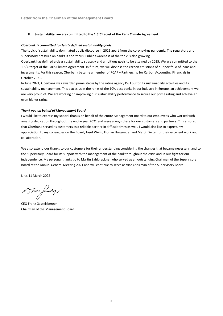#### **8. Sustainability: we are committed to the 1.5˚C target of the Paris Climate Agreement.**

#### *Oberbank is committed to clearly defined sustainability goals*

The topic of sustainability dominated public discourse in 2021 apart from the coronavirus pandemic. The regulatory and supervisory pressure on banks is enormous. Public awareness of the topic is also growing.

Oberbank has defined a clear sustainability strategy and ambitious goals to be attained by 2025. We are committed to the 1.5˚C target of the Paris Climate Agreement. In future, we will disclose the carbon emissions of our portfolio of loans and investments. For this reason, Oberbank became a member of PCAF – Partnership for Carbon Accounting Financials in October 2021.

In June 2021, Oberbank was awarded prime status by the rating agency ISS ESG for its sustainability activities and its sustainability management. This places us in the ranks of the 10% best banks in our industry in Europe, an achievement we are very proud of. We are working on improving our sustainability performance to secure our prime rating and achieve an even higher rating.

#### *Thank you on behalf of Management Board*

I would like to express my special thanks on behalf of the entire Management Board to our employees who worked with amazing dedication throughout the entire year 2021 and were always there for our customers and partners. This ensured that Oberbank served its customers as a reliable partner in difficult times as well. I would also like to express my appreciation to my colleagues on the Board, Josef Weißl, Florian Hagenauer and Martin Seiter for their excellent work and collaboration.

We also extend our thanks to our customers for their understanding considering the changes that became necessary, and to the Supervisory Board for its support with the management of the bank throughout the crisis and in our fight for our independence. My personal thanks go to Martin Zahlbruckner who served as an outstanding Chairman of the Supervisory Board at the Annual General Meeting 2021 and will continue to serve as Vice Chairman of the Supervisory Board.

Linz, 11 March 2022

Stront fundship

CEO Franz Gasselsberger Chairman of the Management Board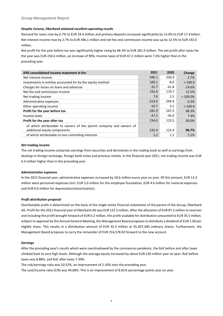#### *Despite Corona, Oberbank attained excellent operating results*

Demand for loans rose by 6.7% to EUR 18.4 million and primary deposits increased significantly by 13.0% to EUR 17.4 billion. Net interest income rose by 2.7% to EUR 346.1 million and net fee and commission income was up by 12.5% to EUR 192.0 million.

Net profit for the year before tax was significantly higher rising by 68.3% to EUR 281.9 million. The net profit after taxes for the year was EUR 234.6 million, an increase of 90%. Income taxes of EUR 47.2 million were 7.4% higher than in the preceding year.

| IFRS consolidated income statement in €m                            | 2021     | 2020     | Change     |
|---------------------------------------------------------------------|----------|----------|------------|
| Net interest income                                                 | 346.1    | 336.9    | 2.7%       |
| Investments in entities accounted for by the equity method          | 100.1    | $-8.0$   | >100.0     |
| Charges for losses on loans and advances                            | $-35.7$  | $-41.8$  | $-14.6%$   |
| Net fee and commission income                                       | 192.0    | 170.7    | 12.5%      |
| Net trading income                                                  | 7.8      | 1.5      | $>100.0\%$ |
| Administrative expenses                                             | $-313.6$ | $-294.9$ | 6.3%       |
| Other operating income                                              | $-14.7$  | 3.2      | >100.0     |
| Profit for the year before tax                                      | 281.9    | 167.5    | 68.3%      |
| Income taxes                                                        | $-47.2$  | $-44.0$  | 7.4%       |
| Profit for the year after tax                                       | 234.6    | 123.5    | 90.0%      |
| of which attributable to owners of the parent company and owners of |          |          |            |
| additional equity components                                        | 233.4    | 122.4    | 90.7%      |
| of which attributable to non-controlling interests                  | 1.2      | 1.1      | 7.1%       |

#### *Net trading income*

The net trading income comprises earnings from securities and derivatives in the trading book as well as earnings from dealings in foreign exchange, foreign bank notes and precious metals. In the financial year 2021, net trading income was EUR 6.3 million higher than in the preceding year.

#### *Administrative expenses*

In the 2021 financial year, administrative expenses increased by 18.6 million euros year on year. Of this amount, EUR 13.4 million were personnel expenses (incl. EUR 5.0 million for the employee foundation, EUR 4.6 million for material expenses and EUR 0.6 million for depreciation/amortisation).

# *Profit distribution proposal*

Distributable profit is determined on the basis of the single-entity financial statements of the parent of the Group, Oberbank AG. Profit for the 2021 financial year of Oberbank AG was EUR 122.5 million. After the allocation of EUR 87.2 million to reserves and including the profit brought forward of EUR 0.2 million, the profit available for distribution amounted to EUR 35.5 million. Subject to approval by the Annual General Meeting, the Management Board proposes to distribute a dividend of EUR 1.00 per eligible share. This results in a distribution amount of EUR 35.3 million at 35,307,300 ordinary shares. Furthermore, the Management Board proposes to carry the remainder of EUR 214,578.02 forward to the new account.

#### *Earnings*

After the preceding year's results which were overshadowed by the coronavirus pandemic, the RoE before and after taxes climbed back to very high levels. Although the average equity increased by about EUR 220 million year on year, RoE before taxes was 8.88%, and RoE after taxes 7.39%.

The risk/earnings ratio was 10.32%, an improvement of 2.10% over the preceding year.

The cost/income ratio (CIR) was 49.68%. This is an improvement of 8.81% percentage points year on year.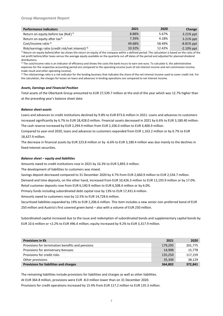# **Group Management Report**

| <b>Performance indicators</b>                        | 2021   | 2020   | Change        |
|------------------------------------------------------|--------|--------|---------------|
| Return on equity before tax (RoE) <sup>1)</sup>      | 8.88%  | 5.67%  | 3.21% ppt     |
| Return on equity after tax <sup>1)</sup>             | 7.39%  | 4.18%  | 3.21% ppt     |
| Cost/income ratio <sup>2)</sup>                      | 49.68% | 58.49% | $-8.81\%$ ppt |
| Risk/earnings ratio (credit risk/net interest) $3$ ) | 10.32% | 12.42% | $-2.10\%$ ppt |

 $1$ ) Return-on-equity before/after tax shows the return on equity of the company within a defined period. The calculation is based on the ratio of the net profit before/after taxes versus the average equity available on the quarterly cut-off dates of the period and adjusted for planned dividend distributions.

 $^{2)}$  The cost/income ratio is an indicator of efficiency and shows the costs the bank incurs to earn one euro. To calculate it, the administrative expenses for the respective accounting period are compared to the operating income (sum of net interest income and net commission income, trade result and other operating income).

3) The risk/earnings ratio is a risk indicator for the lending business that indicates the share of the net interest income used to cover credit risk. For the calculation, the charges for losses on loans and advances in lending operations are compared to net interest income.

#### *Assets, Earnings and Financial Position*

Total assets of the Oberbank Group amounted to EUR 27,539.7 million at the end of the year which was 12.7% higher than at the preceding year's balance sheet date.

#### *Balance sheet assets*

Loans and advances to credit institutions declined by 9.8% to EUR 873.6 million in 2021. Loans and advances to customers increased significantly by 6.7% to EUR 18,428.0 million. Financial assets decreased in 2021 by 6.6% to EUR 3,180.40 million. The cash reserve increased by EUR 2,294.9 million from EUR 2,106.0 million to EUR 4,400.9 million.

Compared to year-end 2020, loans and advances to customers expanded from EUR 1,163.2 million or by 6.7% to EUR 18,427.9 million.

The decrease in financial assets by EUR 223.8 million or by -6.6% to EUR 3,180.4 million was due mainly to the declines in fixed-interest securities.

#### *Balance sheet – equity and liabilities*

Amounts owed to credit institutions rose in 2021 by 16.3% to EUR 5,893.3 million.

The development of liabilities to customers was mixed.

Savings deposit decreased compared to 31 December 2020 by 4.7% from EUR 2,660.9 million to EUR 2,534.7 million.

Demand and time deposits, on the other hand, increased from EUR 10,426.3 million to EUR 12,193.9 million or by 17.0%. Retail customer deposits rose from EUR 6,140.9 million to EUR 6,508.4 million or by 6.0%.

Primary funds including subordinated debt capital rose by 13% to EUR 17,431.6 million.

Amounts owed to customers rose by 12.5% to EUR 14,728.6 million.

Securitised liabilities expanded by 19% to EUR 2,206.6 million. This item includes a new senior non-preferred bond of EUR 250 million and Austria's first covered green bond – also with a volume of EUR 250 million.

Subordinated capital increased due to the issue and redemption of subordinated bonds and supplementary capital bonds by EUR 10.6 million or +2.2% to EUR 496.4 million; equity increased by 9.2% to EUR 3,317.9 million.

| Provisions in $\epsilon$ k                       | 2021    | 2020    |
|--------------------------------------------------|---------|---------|
| Provisions for termination benefits and pensions | 179,295 | 201,775 |
| Provisions for anniversary bonuses               | 14,908  | 15,778  |
| Provisions for credit risks                      | 135,250 | 117,159 |
| Other provisions                                 | 35,349  | 38,129  |
| Provisions for liabilities and charges           | 364,802 | 372,841 |

The remaining liabilities include provisions for liabilities and charges as well as other liabilities.

At EUR 364.8 million, provisions were EUR -8.0 million lower than on 31 December 2020.

Provisions for credit operations increased by 15.4% from EUR 117.2 million to EUR 135.3 million.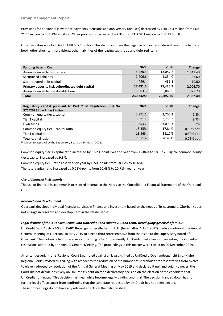Provisions for personnel (severance payments, pensions and anniversary bonuses) decreased by EUR 23.3 million from EUR 217.5 million to EUR 194.2 million. Other provisions decreased by 7.3% from EUR 38.1 million to EUR 35.3 million.

Other liabilities rose by 0.6% to EUR 532.1 million. This item comprises the negative fair values of derivatives in the banking book, other short-term provisions, other liabilities of the leasing sub-group and deferred items.

| Funding base in $\epsilon$ m                     | 2021      | 2020      | Change   |
|--------------------------------------------------|-----------|-----------|----------|
| Amounts owed to customers                        | 14,728.6  | 13,087.2  | 1,641.40 |
| Securitised liabilities                          | 2,206.6   | 1,854.0   | 352.60   |
| Subordinated debt capital                        | 496.4     | 485.8     | 10.60    |
| Primary deposits incl. subordinated debt capital | 17,431.6  | 15,426.9  | 2.004.70 |
| Amounts owed to credit institutions              | 5,893.3   | 5,065.6   | 827.70   |
| <b>Total</b>                                     | 23,324.90 | 20,492.50 | 2,832.40 |

| Regulatory capital pursuant to Part 2 of Regulation (EU) No<br>575/20131 <sup>1</sup> ) − Pillar I in $€m$ | 2021    | 2020    | Change       |
|------------------------------------------------------------------------------------------------------------|---------|---------|--------------|
| Common equity tier 1 capital                                                                               | 2,971.1 | 2,705.2 | 9.8%         |
| Tier 1 capital                                                                                             | 3,021.1 | 2,755.2 | 9.7%         |
| Own funds                                                                                                  | 3,353.2 | 3,099.3 | 8.2%         |
| Common equity tier 1 capital ratio                                                                         | 18.35%  | 17.84%  | $0.52%$ ppt  |
| Tier 1 capital ratio                                                                                       | 18.66%  | 18.17%  | $0.50\%$ ppt |
| Total capital ratio                                                                                        | 20.71%  | 20.43%  | $0.28%$ ppt  |

<sup>1)</sup> Subject to approval by the Supervisory Board on 24 March 2022.

Common equity tier 1 capital ratio increased by 0.52%-points year on year from 17.84% to 18.35%. Eligible common equity tier 1 capital increased by 9.8%.

Common equity tier 1 ratio rose year on year by 0.5%-points from 18.17% to 18.66%.

The total capital ratio increased by 0.28%-points from 20.43% to 20.71% year on year.

#### *Use of financial instruments*

The use of financial instruments is presented in detail in the Notes to the Consolidated Financial Statements of the Oberbank Group.

#### *Research and development*

Oberbank develops individual financial services in finance and investment based on the needs of its customers. Oberbank does not engage in research and development in the classic sense.

#### *Legal dispute of the 3 Banken Group with UniCredit Bank Austria AG and CABO Beteiligungsgesellschaft m.b.H.*

UniCredit Bank Austria AG and CABO Beteiligungsgesellschaft m.b.H. (hereinafter: "UniCredit") made a motion at the Annual General Meeting of Oberbank in May 2019 to elect a third representative from their side to the Supervisory Board of Oberbank. The motion failed to receive a consenting vote. Subsequently, UniCredit filed a lawsuit contesting the individual resolutions adopted by the Annual General Meeting. The proceedings in this matter were closed on 20 December 2019.

After Landesgericht Linz (Regional Court Linz) ruled against all lawsuits filed by UniCredit, Oberlandesgericht Linz (Higher Regional Court) revised this ruling with respect to the reduction of the number of shareholder representatives from twelve to eleven adopted by resolution of the Annual General Meeting of May 2019 and declared it null and void. However, the Court did not decide positively on UniCredit's petition for a declaratory decision on the election of the candidate that UniCredit nominated. This decision has meanwhile become legally binding and final. The decision handed down has no further legal effects apart from confirming that the candidate requested by UniCredit has not been elected. These proceedings do not have any relevant effects on the balance sheet.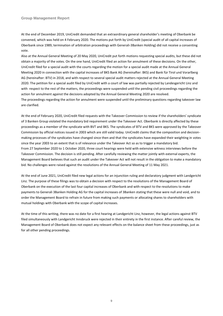**Group Management Report**

At the end of December 2019, UniCredit demanded that an extraordinary general shareholder's meeting of Oberbank be convened, which was held on 4 February 2020. The motions put forth by UniCredit (special audit of all capital increases of Oberbank since 1989, termination of arbitration proceedings with Generali-3Banken Holding) did not receive a consenting vote.

Also at the Annual General Meeting of 20 May 2020, UniCredit put forth motions requesting special audits, but these did not obtain a majority of the votes. On the one hand, UniCredit filed an action for annulment of these decisions. On the other, UniCredit filed for a special audit with the courts regarding the motion for a special audit made at the Annual General Meeting 2020 in connection with the capital increases of BKS Bank AG (hereinafter: BKS) and Bank für Tirol und Vorarlberg AG (hereinafter: BTV) in 2018, and with respect to several special audit matters rejected at the Annual General Meeting 2020. The petition for a special audit filed by UniCredit with a court of law was partially rejected by Landesgericht Linz and with respect to the rest of the matters, the proceedings were suspended until the pending civil proceedings regarding the action for annulment against the decisions adopted by the Annual General Meeting 2020 are resolved. The proceedings regarding the action for annulment were suspended until the preliminary questions regarding takeover law are clarified.

At the end of February 2020, UniCredit filed requests with the Takeover Commission to review if the shareholders' syndicate of 3 Banken Group violated the mandatory bid requirement under the Takeover Act. Oberbank is directly affected by these proceedings as a member of the syndicate with BVT and BKS. The syndicates of BTV and BKS were approved by the Takeover Commission by official notices issued in 2003 which are still valid today. UniCredit claims that the composition and decisionmaking processes of the syndicates have changed since then and that the syndicates have expanded their weighting in votes since the year 2003 to an extent that is of relevance under the Takeover Act so as to trigger a mandatory bid. From 27 September 2020 to 1 October 2020, three court hearings were held with extensive witness interviews before the Takeover Commission. The decision is still pending. After carefully reviewing the matter jointly with external experts, the Management Board believes that such an audit under the Takeover Act will not result in the obligation to make a mandatory bid. No challenges were raised against the resolutions of the Annual General Meeting of 11 May 2021.

At the end of June 2021, UniCredit filed new legal actions for an injunction ruling and declaratory judgment with Landgericht Linz. The purpose of these filings was to obtain a decision with respect to the resolutions of the Management Board of Oberbank on the execution of the last four capital increases of Oberbank and with respect to the resolutions to make payments to Generali 3Banken Holding AG for the capital increases of 3Banken stating that these were null and void, and to order the Management Board to refrain in future from making such payments or allocating shares to shareholders with mutual holdings with Oberbank with the scope of capital increases.

At the time of this writing, there was no date for a first hearing at Landgericht Linz, however, the legal actions against BTV filed simultaneously with Landgericht Innsbruck were rejected in their entirety in the first instance. After careful review, the Management Board of Oberbank does not expect any relevant effects on the balance sheet from these proceedings, just as for all other pending proceedings.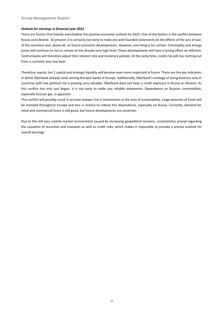#### **Group Management Report**

#### *Outlook for earnings in financial year 2022*

There are factors that heavily overshadow the positive economic outlook for 2022. One of the factors is the conflict between Russia and Ukraine. At present, it is certainly too early to make any well-founded statements on the effects of the acts of war, of the sanctions and, above all, on future economic developments. However, one thing is for certain. Commodity and energy prices will continue to rise or remain at the already very high level. These developments will have a lasting effect on inflation. Central banks will therefore adjust their interest rate and monetary policies. At the same time, credit risk will rise starting out from a currently very low level.

Therefore, equity, tier 1 capital and strategic liquidity will become even more important in future. These are the key indicators in which Oberbank already ranks among the best banks in Europe. Additionally, Oberbank's strategy of doing business only in countries with low political risk is proving very valuable. Oberbank does not have a credit exposure in Russia or Ukraine. As this conflict has only just begun, it is too early to make any reliable statements. Dependence on Russian commodities, especially Russian gas, is apparent.

This conflict will possibly result in an even steeper rise in investments in the area of sustainability. Large amounts of funds will be invested throughout Europe and also in Austria to reduce this dependence, especially on Russia. Currently, demand for retail and commercial loans is still good, but future developments are uncertain.

Due to the still very volatile market environment caused by increasing geopolitical tensions, uncertainties prevail regarding the valuation of securities and investees as well as credit risks, which makes it impossible to provide a precise outlook for overall earnings.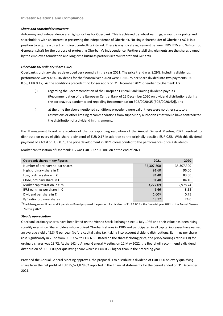#### *Share and shareholder structure*

Autonomy and independence are high priorities for Oberbank. This is achieved by robust earnings, a sound risk policy and shareholders with an interest in preserving the independence of Oberbank. No single shareholder of Oberbank AG is in a position to acquire a direct or indirect controlling interest. There is a syndicate agreement between BKS, BTV and Wüstenrot Genossenschaft for the purpose of protecting Oberbank's independence. Further stabilising elements are the shares owned by the employee foundation and long-time business partners like Wüstenrot and Generali.

#### *Oberbank AG ordinary shares 2021*

Oberbank's ordinary shares developed very soundly in the year 2021. The price trend was 8.29%. Including dividends, performance was 9.46%. Dividends for the financial year 2020 were EUR 0.75 per share divided into two payments (EUR 0.58, EUR 0.17). As the conditions precedent no longer apply on 31 December 2021 or earlier to Oberbank AG

- (i) regarding the Recommendation of the European Central Bank limiting dividend payouts (Recommendation of the European Central Bank of 15 December 2020 on dividend distributions during the coronavirus pandemic and repealing Recommendation ECB/2020/35 [ECB/2020/62]), and
- (ii) at the time the abovementioned conditions precedent were valid, there were no other statutory restrictions or other limiting recommendations from supervisory authorities that would have contradicted the distribution of a dividend in this amount,

the Management Board in execution of the corresponding resolution of the Annual General Meeting 2021 resolved to distribute on every eligible share a dividend of EUR 0.17 in addition to the originally possible EUR 0.58. With this dividend payment of a total of EUR 0.75, the price development in 2021 corresponded to the performance (price + dividend).

Market capitalisation of Oberbank AG was EUR 3,227.09 million at the end of 2021.

| Oberbank shares - key figures         | 2021       | 2020       |
|---------------------------------------|------------|------------|
| Number of ordinary no-par shares      | 35,307,300 | 35,307,300 |
| High, ordinary share in $\epsilon$    | 91.60      | 96.00      |
| Low, ordinary share in $\epsilon$     | 84.40      | 83.00      |
| Close, ordinary share in $\epsilon$   | 91.40      | 84.40      |
| Market capitalization in $\epsilon$ m | 3,227.09   | 2,978.74   |
| IFRS earnings per share in $\epsilon$ | 6.66       | 3.52       |
| Dividend per share in $\epsilon$      | $1.00^{1}$ | 0.75       |
| P/E ratio, ordinary shares            | 13.72      | 24.0       |

 $1$ The Management Board and Supervisory Board proposed the payout of a dividend of EUR 1.00 for the financial year 2021 to the Annual General Meeting 2022.

# *Steady appreciation*

Oberbank ordinary shares have been listed on the Vienna Stock Exchange since 1 July 1986 and their value has been rising steadily ever since. Shareholders who acquired Oberbank shares in 1986 and participated in all capital increases have earned an average yield of 8.84% per year (before capital gains tax) taking into account dividend distributions. Earnings per share rose significantly in 2022 from EUR 3.52 to EUR 6.66. Based on the shares' closing price, the price/earnings ratio (PER) for ordinary shares was 13.72. At the 142nd Annual General Meeting on 12 May 2022, the Board will recommend a dividend distribution of EUR 1.00 per qualifying share which is EUR 0.25 higher than in the preceding year.

Provided the Annual General Meeting approves, the proposal is to distribute a dividend of EUR 1.00 on every qualifying share from the net profit of EUR 35,521,878.02 reported in the financial statements for the period ended on 31 December 2021.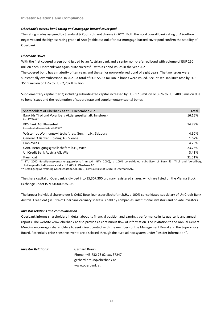#### *Oberbank's overall bank rating and mortgage-backed cover pool*

The rating grades assigned by Standard & Poor's did not change in 2021. Both the good overall bank rating of A (outlook: negative) and the highest rating grade of AAA (stable outlook) for our mortgage-backed cover pool confirm the stability of Oberbank.

#### *Oberbank issues*

With the first covered green bond issued by an Austrian bank and a senior non-preferred bond with volume of EUR 250 million each, Oberbank was again quite successful with its bond issues in the year 2021.

The covered bond has a maturity of ten years and the senior non-preferred bond of eight years. The two issues were substantially oversubscribed. In 2021, a total of EUR 550.3 million in bonds were issued. Securitised liabilities rose by EUR 351.9 million or 19% to EUR 2,207.8 million.

Supplementary capital (tier 2) including subordinated capital increased by EUR 17.5 million or 3.8% to EUR 480.6 million due to bond issues and the redemption of subordinate and supplementary capital bonds.

| Shareholders of Oberbank as at 31 December 2021                                  | Total  |
|----------------------------------------------------------------------------------|--------|
| Bank für Tirol und Vorarlberg Aktiengesellschaft, Innsbruck<br>(incl. BTV 2000)* | 16.15% |
| BKS Bank AG, Klagenfurt<br>(incl. subordinating syndicate with BVG)**            | 14.79% |
| Wüstenrot Wohnungswirtschaft reg. Gen.m.b.H., Salzburg                           | 4.50%  |
| Generali 3 Banken Holding AG, Vienna                                             | 1.62%  |
| Employees                                                                        | 4.26%  |
| CABO Beteiligungsgesellschaft m.b.H., Wien                                       | 23.76% |
| UniCredit Bank Austria AG, Wien                                                  | 3.41%  |
| Free float                                                                       | 31.51% |

\* BTV 2000 Beteiligungsverwaltungsgesellschaft m.b.H. (BTV 2000), a 100% consolidated subsidiary of Bank für Tirol und Vorarlberg Aktiengesellschaft, owns a stake of 2.62% in Oberbank AG.

\*\* Beteiligungsverwaltung Gesellschaft m.b.H. (BVG) owns a stake of 0.58% in Oberbank AG.

The share capital of Oberbank is divided into 35,307,300 ordinary registered shares, which are listed on the Vienna Stock Exchange under ISIN AT0000625108.

The largest individual shareholder is CABO Beteiligungsgesellschaft m.b.H., a 100% consolidated subsidiary of UniCredit Bank Austria. Free float (31.51% of Oberbank ordinary shares) is held by companies, institutional investors and private investors.

#### *Investor relations and communication*

Oberbank informs shareholders in detail about its financial position and earnings performance in its quarterly and annual reports. The website www.oberbank.at also provides a continuous flow of information. The invitation to the Annual General Meeting encourages shareholders to seek direct contact with the members of the Management Board and the Supervisory Board. Potentially price-sensitive events are disclosed through the euro ad hoc system under "Insider Information".

#### *Investor Relations:* Gerhard Braun

Phone: +43 732 78 02 ext. 37247 gerhard.braun@oberbank.at www.oberbank.at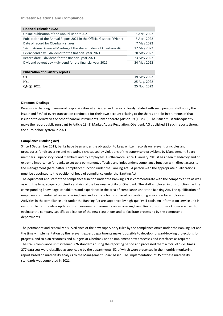**Investor Relations and Compliance**

| <b>Financial calendar 2022</b>                                        |              |
|-----------------------------------------------------------------------|--------------|
| Online publication of the Annual Report 2021                          | 5 April 2022 |
| Publication of the Annual Report 2021 in the Official Gazette "Wiener | 5 April 2022 |
| Date of record for Oberbank shares                                    | 7 May 2022   |
| 142nd Annual General Meeting of the shareholders of Oberbank AG       | 17 May 2022  |
| Ex dividend day – dividend for the financial year 2021                | 20 May 2022  |
| Record date – dividend for the financial year 2021                    | 23 May 2022  |
| Dividend payout day - dividend for the financial year 2021            | 24 May 2022  |
|                                                                       |              |
| <b>Publication of quarterly reports</b>                               |              |
| Q <sub>1</sub>                                                        | 19 May 2022  |
| HY <sub>1</sub>                                                       | 25 Aug. 2022 |

Q1-Q3 2022 25 Nov. 2022

#### **Directors' Dealings**

Persons discharging managerial responsibilities at an issuer and persons closely related with such persons shall notify the issuer and FMA of every transaction conducted for their own account relating to the shares or debt instruments of that issuer or to derivatives or other financial instruments linked thereto (Article 19 (1) MAR). The issuer must subsequently make the report public pursuant to Article 19 (3) Market Abuse Regulation. Oberbank AG published 38 such reports through the euro-adhoc-system in 2021.

#### **Compliance (Banking Act)**

Since 1 September 2018, banks have been under the obligation to keep written records on relevant principles and procedures for discovering and mitigating risks caused by violations of the supervisory provisions by Management Board members, Supervisory Board members and by employees. Furthermore, since 1 January 2019 it has been mandatory and of extreme importance for banks to set up a permanent, effective and independent compliance function with direct access to the management (hereinafter: compliance function under the Banking Act). A person with the appropriate qualifications must be appointed to the position of head of compliance under the Banking Act.

The equipment and staff of the compliance function under the Banking Act is commensurate with the company's size as well as with the type, scope, complexity and risk of the business activity of Oberbank. The staff employed in this function has the corresponding knowledge, capabilities and experience in the area of compliance under the Banking Act. The qualification of employees is maintained on an ongoing basis and a strong focus is placed on continuing education for employees. Activities in the compliance unit under the Banking Act are supported by high-quality IT tools. An information service unit is responsible for providing updates on supervisory requirements on an ongoing basis. Revision-proof workflows are used to evaluate the company-specific application of the new regulations and to facilitate processing by the competent departments.

The permanent and centralized surveillance of the new supervisory rules by the compliance office under the Banking Act and the timely implementation by the relevant expert departments make it possible to develop forward-looking projections for projects, and to plan resources and budgets at Oberbank and to implement new processes and interfaces as required. The BWG compliance unit screened 726 standards during the reporting period and processed them a total of 1770 times. 277 data sets were classified as applicable by the departments, 52 of which were presented in the monthly monitoring report based on materiality analysis to the Management Board based. The implementation of 35 of these materiality standards was completed in 2021.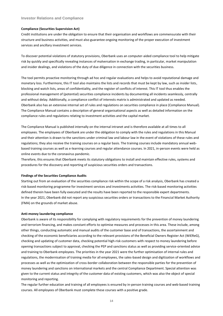#### **Investor Relations and Compliance**

#### **Compliance (Securities Supervision Act)**

Credit institutions are under the obligation to ensure that their organisation and workflows are commensurate with their structure and business activities, and must also guarantee ongoing monitoring of the proper execution of investment services and ancillary investment services.

To discover potential violations of statutory provisions, Oberbank uses an computer-aided compliance tool to help mitigate risk by quickly and specifically revealing instances of malversation in exchange trading, in particular, market manipulation and insider dealings, and violations of the duty of due diligence in connection with the securities business.

The tool permits proactive monitoring through ad hoc and regular evaluations and helps to avoid reputational damage and monetary loss. Furthermore, this IT tool also maintains the lists and records that must be kept by law, such as insider lists, blocking and watch lists, areas of confidentiality, and the register of conflicts of interest. This IT tool thus enables the professional management of (potential) securities compliance incidents by documenting all incidents seamlessly, centrally and without delay. Additionally, a compliance conflict of interests matrix is administrated and updated as needed. Oberbank also has an extensive internal set of rules and regulations on securities compliance in place (Compliance Manual). The Compliance Manual contains a description of general organisational aspects as well as detailed information on the compliance rules and regulations relating to investment activities and the capital market.

The Compliance Manual is published internally on the internal intranet and is therefore available at all times to all employees. The employees of Oberbank are under the obligation to comply with the rules and regulations in this Manual and their attention is drawn to the sanctions under criminal law and labour law in the event of violations of these rules and regulations; they also receive the training courses on a regular basis. The training courses include mandatory annual webbased training courses as well as e-learning courses and regular attendance courses. In 2021, in-person events were held as online events due to the coronavirus pandemic.

Therefore, this ensures that Oberbank meets its statutory obligations to install and maintain effective rules, systems and procedures for the discovery and reporting of suspicious securities orders and transactions.

#### **Findings of the Securities Compliance Audits**

Starting out from an evaluation of the securities compliance risk within the scope of a risk analysis, Oberbank has created a risk-based monitoring programme for investment services and investments activities. The risk-based monitoring activities defined therein have been fully executed and the results have been reported to the responsible expert departments. In the year 2021, Oberbank did not report any suspicious securities orders or transactions to the Financial Market Authority (FMA) on the grounds of market abuse.

#### **Anti-money laundering compliance**

Oberbank is aware of its responsibility for complying with regulatory requirements for the prevention of money laundering and terrorism financing, and makes constant efforts to optimise measures and processes in this area. These include, among other things, conducting automatic and manual audits of the customer base and of transactions, the ascertainment and checking of the economic beneficiaries according to the relevant provisions of the Beneficial Owners Register Act (WiEReG), checking and updating of customer data, checking potential high-risk customers with respect to money laundering before opening transactions subject to approval, checking the PEP and sanctions status as well as providing service-oriented advice and training to Oberbank employees. The priorities in the year 2021 were the further optimisation of internal rules and regulations, the modernisation of training media for all employees, the sales-based design and digitization of workflows and processes as well as the optimization of cross-border collaboration between the responsible parties for the prevention of money laundering and sanctions on international markets and the central Compliance Department. Special attention was given to the current status and integrity of the customer data of existing customers, which was also the object of special monitoring and reporting.

The regular further education and training of all employees is ensured by in-person training courses and web-based training courses. All employees of Oberbank must complete these courses with a positive grade.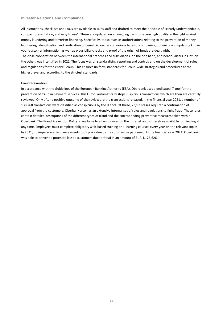#### **Investor Relations and Compliance**

All instructions, checklists and FAQs are available to sales staff and drafted to meet the principle of "clearly understandable, compact presentation, and easy to use". These are updated on an ongoing basis to secure high quality in the fight against money laundering and terrorism financing. Specifically, topics such as authorisations relating to the prevention of money laundering, identification and verification of beneficial owners of various types of companies, obtaining and updating knowyour-customer information as well as plausibility checks and proof of the origin of funds are dealt with. The close cooperation between the international branches and subsidiaries, on the one hand, and headquarters in Linz, on the other, was intensified in 2021. The focus was on standardising reporting and control, and on the development of rules and regulations for the entire Group. This ensures uniform standards for Group-wide strategies and procedures at the highest level and according to the strictest standards.

#### **Fraud Prevention**

In accordance with the Guidelines of the European Banking Authority (EBA), Oberbank uses a dedicated IT tool for the prevention of fraud in payment services. This IT tool automatically stops suspicious transactions which are then are carefully reviewed. Only after a positive outcome of the review are the transactions released. In the financial year 2021, a number of 138,268 transactions were classified as conspicuous by the IT tool. Of these, 23,170 cases required a confirmation of approval from the customers. Oberbank also has an extensive internal set of rules and regulations to fight fraud. These rules contain detailed descriptions of the different types of fraud and the corresponding preventive measures taken within Oberbank. The Fraud Prevention Policy is available to all employees on the intranet and is therefore available for viewing at any time. Employees must complete obligatory web-based training or e-learning courses every year on the relevant topics. In 2021, no in-person attendance events took place due to the coronavirus pandemic. In the financial year 2021, Oberbank was able to prevent a potential loss to customers due to fraud in an amount of EUR 1,126,626.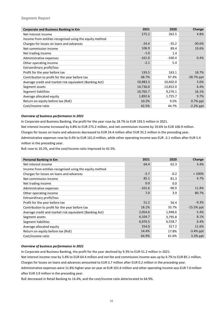#### **Segment Report**

| Corporate and Business Banking in €m                    | 2021     | 2020     | Change       |
|---------------------------------------------------------|----------|----------|--------------|
| Net interest income                                     | 275.2    | 262.5    | 4.8%         |
| Income from entities recognised using the equity method |          |          |              |
| Charges for losses on loans and advances                | $-24.4$  | $-35.2$  | $-30.6%$     |
| Net commission income                                   | 106.9    | 89.4     | 19.6%        |
| Net trading income                                      | $-1.0$   | 1.4      |              |
| Administrative expenses                                 | $-161.0$ | $-160.4$ | 0.4%         |
| Other operating income                                  | $-2.1$   | 5.4      |              |
| Extraordinary profit/loss                               |          |          |              |
| Profit for the year before tax                          | 193.5    | 163.1    | 18.7%        |
| Contribution to profit for the year before tax          | 68.7%    | 97.4%    | $-28.7%$ ppt |
| Average credit and market risk equivalent (Banking Act) | 10,983.3 | 10,602.0 | 3.6%         |
| Segment assets                                          | 14,736.0 | 13,852.0 | 6.4%         |
| Segment liabilities                                     | 10,765.7 | 9,276.1  | 16.1%        |
| Average allocated equity                                | 1,892.6  | 1,725.7  | 9.7%         |
| Return on equity before tax (RoE)                       | 10.2%    | 9.5%     | $0.7\%$ ppt  |
| Cost/income ratio                                       | 42.5%    | 44.7%    | $-2.2%$ ppt  |

#### *Overview of business performance in 2021*

In Corporate and Business Banking, the profit for the year rose by 18.7% to EUR 193.5 million in 2021.

Net interest income increased by 4.8% to EUR 275.2 million, and net commission income by 19.6% to EUR 106.9 million.

Charges for losses on loans and advances decreased to EUR 24.4 million after EUR 35.2 million in the preceding year.

Administrative expenses rose by 0.4% to EUR 161.0 million, while other operating income was EUR -2.1 million after EUR 5.4 million in the preceding year.

RoE rose to 10.2%, and the cost/income ratio improved to 42.5%.

| Personal Banking in €m                                  | 2021     | 2020    | Change       |
|---------------------------------------------------------|----------|---------|--------------|
| Net interest income                                     | 64.4     | 62.3    | 3.4%         |
| Income from entities recognised using the equity method |          |         |              |
| Charges for losses on loans and advances                | $-3.7$   | $-0.2$  | >100%        |
| Net commission income                                   | 85.1     | 81.3    | 4.7%         |
| Net trading income                                      | 0.0      | 0.0     |              |
| Administrative expenses                                 | $-101.6$ | $-90.9$ | 11.8%        |
| Other operating income                                  | 7.0      | 3.9     | 80.7%        |
| Extraordinary profit/loss                               |          |         |              |
| Profit for the year before tax                          | 51.2     | 56.4    | $-9.3%$      |
| Contribution to profit for the year before tax          | 18.1%    | 33.7%   | $-15.5%$ ppt |
| Average credit and market risk equivalent (Banking Act) | 2,054.6  | 1,948.6 | 5.4%         |
| Segment assets                                          | 4,104.7  | 3,795.8 | 8.1%         |
| Segment liabilities                                     | 6,976.5  | 6,558.7 | 6.4%         |
| Average allocated equity                                | 354.0    | 317.2   | 11.6%        |
| Return on equity before tax (RoE)                       | 14.4%    | 17.8%   | $-3.4\%$ ppt |
| Cost/income ratio                                       | 64.9%    | 61.6%   | 3.3% ppt     |

#### *Overview of business performance in 2021*

In Corporate and Business Banking, the profit for the year declined by 9.3% to EUR 51.2 million in 2021.

Net interest income rose by 3.4% to EUR 64.4 million and net fee and commission income was up by 4.7% to EUR 85.1 million. Charges for losses on loans and advances amounted to EUR 3.7 million after EUR 0.2 million in the preceding year. Administrative expenses were 11.8% higher year on year at EUR 101.6 million and other operating income was EUR 7.0 million after EUR 3.9 million in the preceding year.

RoE decreased in Retail Banking to 14.4%, and the cost/income ratio deteriorated to 64.9%.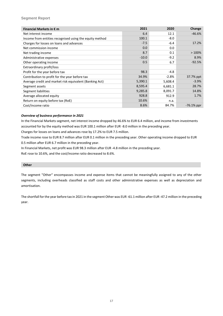#### **Segment Report**

| Financial Markets in $\epsilon$ m                       | 2021    | 2020    | Change        |
|---------------------------------------------------------|---------|---------|---------------|
| Net interest income                                     | 6.4     | 12.1    | $-46.6%$      |
| Income from entities recognised using the equity method | 100.1   | $-8.0$  |               |
| Charges for losses on loans and advances                | $-7.5$  | $-6.4$  | 17.2%         |
| Net commission income                                   | 0.0     | 0.0     |               |
| Net trading income                                      | 8.7     | 0.1     | $>100\%$      |
| Administrative expenses                                 | $-10.0$ | $-9.2$  | 8.9%          |
| Other operating income                                  | 0.5     | 6.7     | $-92.5%$      |
| Extraordinary profit/loss                               |         |         |               |
| Profit for the year before tax                          | 98.3    | $-4.8$  |               |
| Contribution to profit for the year before tax          | 34.9%   | $-2.8%$ | 37.7% ppt     |
| Average credit and market risk equivalent (Banking Act) | 5,390.1 | 5,608.4 | $-3.9%$       |
| Segment assets                                          | 8,595.4 | 6,681.1 | 28.7%         |
| Segment liabilities                                     | 9,285.8 | 8,091.7 | 14.8%         |
| Average allocated equity                                | 928.8   | 912.9   | 1.7%          |
| Return on equity before tax (RoE)                       | 10.6%   | n.a.    |               |
| Cost/income ratio                                       | 8.6%    | 84.7%   | $-76.1\%$ ppr |

#### *Overview of business performance in 2021*

In the Financial Markets segment, net interest income dropped by 46.6% to EUR 6.4 million, and income from investments accounted for by the equity method was EUR 100.1 million after EUR -8.0 million in the preceding year.

Charges for losses on loans and advances rose by 17.2% to EUR 7.5 million.

Trade income rose to EUR 8.7 million after EUR 0.1 million in the preceding year. Other operating income dropped to EUR 0.5 million after EUR 6.7 million in the preceding year.

In Financial Markets, net profit was EUR 98.3 million after EUR -4.8 million in the preceding year.

RoE rose to 10.6%, and the cost/income ratio decreased to 8.6%.

#### **Other**

The segment "Other" encompasses income and expense items that cannot be meaningfully assigned to any of the other segments, including overheads classified as staff costs and other administrative expenses as well as depreciation and amortisation.

The shortfall for the year before tax in 2021 in the segment Other was EUR -61.1 million after EUR -47.2 million in the preceding year.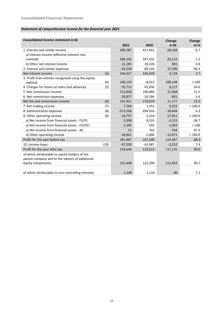# *Statement of comprehensive income for the financial year 2021*

| Consolidated income statement in $\epsilon$ k       |      |            |            | Change          | Change     |
|-----------------------------------------------------|------|------------|------------|-----------------|------------|
|                                                     |      | 2021       | 2020       | in $\epsilon$ k | in $%$     |
| 1. Interest and similar income                      |      | 389,287    | 417,455    | $-28,168$       | $-6.7$     |
| a) Interest income (effective interest rate         |      |            |            |                 |            |
| method)                                             |      | 368,102    | 397,235    | $-29,133$       | $-7.3$     |
| b) Other net interest income                        |      | 21,185     | 20,220     | 965             | 4.8        |
| 2. Interest and similar expenses                    |      | $-43,230$  | $-80,526$  | 37,296          | $-46.3$    |
| Net interest income                                 | (3)  | 346,057    | 336,929    | 9,128           | 2.7        |
| 3. Profit from entities recognised using the equity |      |            |            |                 |            |
| method                                              | (4)  | 100,133    | $-8,015$   | 108,148         | $> -100$   |
| 4. Charges for losses on loans and advances         | (5)  | $-35,713$  | $-41,830$  | 6,117           | $-14.6$    |
| 5. Net commission income                            |      | 212,828    | 190,860    | 21,968          | 11.5       |
| 6. Net commission expenses                          |      | $-20,877$  | $-20,186$  | $-691$          | 3.4        |
| Net fee and commission income                       | (6)  | 191,951    | 170,674    | 21,277          | 12.5       |
| 7. Net trading income                               | (7)  | 7,764      | 1,452      | 6,312           | >100.0     |
| 8. Administrative expenses                          | (8)  | $-313.568$ | $-294.924$ | $-18.644$       | 6.3        |
| 9. Other operating income                           | (9)  | $-14,737$  | 3,214      | $-17,951$       | $> -100.0$ |
| a) Net income from financial assets - FV/PL         |      | 5,398      | 8,531      | $-3,133$        | $-36.7$    |
| a) Net income from financial assets - FV/OCI        |      | $-1,195$   | $-192$     | $-1,003$        | >100       |
| a) Net income from financial assets - AC            |      | 21         | 765        | $-744$          | $-97.3$    |
| d) Other operating income                           |      | $-18,961$  | $-5,890$   | $-13,071$       | >100.0     |
| Profit for the year before tax                      |      | 281,887    | 167,500    | 114,387         | 68.3       |
| 10. Income taxes                                    | (10) | $-47,239$  | -43,987    | $-3,252$        | 7.4        |
| Profit for the year after tax                       |      | 234,648    | 123,513    | 111,135         | 90.0       |
| of which attributable to equity holders of the      |      |            |            |                 |            |
| parent company and to the owners of additional      |      |            |            |                 |            |
| equity components                                   |      | 233,449    | 122,394    | 111,055         | 90.7       |
|                                                     |      |            |            |                 |            |
| of which attributable to non-controlling interests  |      | 1,199      | 1,119      | 80              | 7.1        |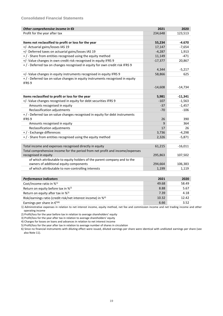| Other comprehensive income in €k                                              | 2021      | 2020      |
|-------------------------------------------------------------------------------|-----------|-----------|
| Profit for the year after tax                                                 | 234,648   | 123,513   |
|                                                                               |           |           |
| Items not reclassified to profit or loss for the year                         | 55,234    | $-4.670$  |
| +/- Actuarial gains/losses IAS 19                                             | 17,147    | $-7,654$  |
| +/- Deferred taxes on actuarial gains/losses IAS 19                           | $-4,287$  | 1,913     |
| +/-Share from entities recognised using the equity method                     | 11,149    | $-471$    |
| +/- Value changes in own credit risk recognised in equity IFRS 9              | $-17,377$ | 20,867    |
| +/-Deferred tax on changes recognised in equity for own credit risk IFRS 9    |           |           |
|                                                                               | 4,344     | $-5,217$  |
| +/- Value changes in equity instruments recognised in equity IFRS 9           | 58,866    | 625       |
| +/-Deferred tax on value changes in equity instruments recognised in equity   |           |           |
| IFRS <sub>9</sub>                                                             |           |           |
|                                                                               | $-14,608$ | $-14,734$ |
|                                                                               |           |           |
| Items reclassified to profit or loss for the year                             | 5,981     | $-11,341$ |
| +/- Value changes recognised in equity for debt securities IFRS 9             | $-107$    | $-1,563$  |
| Amounts recognised in equity                                                  | $-37$     | $-1,457$  |
| Reclassification adjustments                                                  | $-70$     | $-106$    |
| +/-Deferred tax on value changes recognised in equity for debt instruments    |           |           |
| IFRS 9                                                                        | 26        | 390       |
| Amounts recognised in equity                                                  | 9         | 364       |
| Reclassification adjustments                                                  | 17        | 26        |
| +/-Exchange differences                                                       | 3,736     | $-4,298$  |
| +/-Share from entities recognised using the equity method                     | 2,326     | $-5,871$  |
|                                                                               |           |           |
| Total income and expenses recognised directly in equity                       | 61,215    | $-16,011$ |
| Total comprehensive income for the period from net profit and income/expenses |           |           |
| recognised in equity                                                          | 295,863   | 107,502   |
| of which attributable to equity holders of the parent company and to the      |           |           |
| owners of additional equity components                                        | 294,664   | 106,383   |
| of which attributable to non-controlling interests                            | 1,199     | 1,119     |
|                                                                               |           |           |
| <b>Performance indicators</b>                                                 | 2021      | 2020      |
| Cost/income ratio in % <sup>1)</sup>                                          | 49.68     | 58.49     |
| Return on equity before tax in % <sup>2)</sup>                                | 8.88      | 5.67      |
| Return on equity after tax in % <sup>3)</sup>                                 | 7.39      | 4.18      |
| Risk/earnings ratio (credit risk/net interest income) in % <sup>4)</sup>      | 10.32     | 12.42     |

Earnings per share in  $\epsilon^{5|6}$  3.52

1) Administrative expenses in relation to net interest income, equity method, net fee and commission income and net trading income and other operating income

2) Profit/loss for the year before tax in relation to average shareholders' equity

3) Profit/loss for the year after tax in relation to average shareholders' equity

4) Charges for losses on loans and advances in relation to net interest income

5) Profit/loss for the year after tax in relation to average number of shares in circulation

6) Since no financial instruments with diluting effect were issued, diluted earnings per share were identical with undiluted earnings per share (see also Note 11).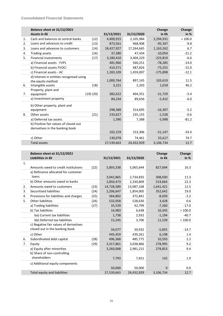|    | Balance sheet at 31/12/2021<br>Assets in $\epsilon$ k |           | 31/12/2021 | 31/12/2020 | Change<br>in $\epsilon$ k | Change<br>in % |
|----|-------------------------------------------------------|-----------|------------|------------|---------------------------|----------------|
| 1. | Cash and balances at central banks                    | (12)      | 4,400,915  | 2,105,984  | 2,294,931                 | >100.0         |
| 2. | Loans and advances to credit                          | (13)      | 873,561    | 968,908    | $-95,347$                 | $-9.8$         |
| 3. | Loans and advances to customers                       | (14)      | 18,427,927 | 17,264,665 | 1,163,262                 | 6.7            |
| 4. | <b>Trading assets</b>                                 | (16)      | 37,380     | 47,434     | $-10,054$                 | $-21.2$        |
| 5. | <b>Financial investments</b>                          | (17)      | 3,180,410  | 3,404,229  | $-223,819$                | $-6.6$         |
|    | a) Financial assets - FVPL                            |           | 481,966    | 560,251    | $-78,285$                 | $-14.0$        |
|    | b) Financial assets FVOCI                             |           | 414,571    | 487,826    | $-73,255$                 | $-15.0$        |
|    | c) Financial assets - AC                              |           | 1,283,109  | 1,459,007  | $-175,898$                | $-12.1$        |
|    | d) Interest in entities recognised using              |           |            |            |                           |                |
|    | the equity method                                     |           | 1,000,764  | 897,145    | 103,619                   | 11.5           |
| 6. | Intangible assets                                     | (18)      | 3,221      | 2,203      | 1,018                     | 46.2           |
|    | Property, plant and                                   |           |            |            |                           |                |
| 7. | equipment                                             | (19) (20) | 382,622    | 404,351    | $-21,729$                 | $-5.4$         |
|    | a) Investment property                                |           | 84,234     | 89,656     | $-5,422$                  | $-6.0$         |
|    | b) Other property, plant and                          |           |            |            |                           |                |
|    | equipment                                             |           | 298,388    | 314,695    | $-16,307$                 | $-5.2$         |
| 8. | Other assets                                          | (21)      | 233,627    | 235,155    | $-1,528$                  | $-0.6$         |
|    | a) Deferred tax assets                                |           | 1,390      | 7,388      | $-5,998$                  | $-81.2$        |
|    | b) Positive fair values of closed out                 |           |            |            |                           |                |
|    | derivatives in the banking book                       |           |            |            |                           |                |
|    |                                                       |           | 102,159    | 153,306    | $-51,147$                 | $-33.4$        |
|    | c) Other                                              |           | 130,078    | 74,461     | 55,617                    | 74.7           |
|    | <b>Total assets</b>                                   |           | 27,539,663 | 24,432,929 | 3,106,734                 | 12.7           |

|    | Balance sheet at 31/12/2021<br>Liabilities in $\epsilon$ k |      | 31/12/2021 | 31/12/2020 | Change<br>in $\epsilon$ k | Change<br>in $%$ |
|----|------------------------------------------------------------|------|------------|------------|---------------------------|------------------|
| 1. |                                                            |      |            |            |                           |                  |
|    | Amounts owed to credit institutions                        | (22) | 5,893,338  | 5,065,644  | 827,694                   | 16.3             |
|    | a) Refinance allocated for customer                        |      |            |            |                           |                  |
|    | loans                                                      |      | 3,042,865  | 2,734,835  | 308,030                   | 11.3             |
|    | b) Other amounts owed to banks                             |      | 2,850,473  | 2,330,809  | 519,664                   | 22.3             |
| 2. | Amounts owed to customers                                  | (23) | 14,728,589 | 13,087,168 | 1,641,421                 | 12.5             |
| 3. | Securitised liabilities                                    | (24) | 2,206,647  | 1,854,005  | 352,642                   | 19.0             |
| 4. | Provisions for liabilities and charges                     | (25) | 364,802    | 372,841    | $-8,039$                  | $-2.2$           |
| 5. | Other liabilities                                          | (26) | 532,058    | 528,630    | 3,428                     | 0.6              |
|    | a) Trading liabilities                                     | (27) | 35,539     | 42,799     | $-7,260$                  | $-17.0$          |
|    | b) Tax liabilities                                         |      | 16,983     | 6,638      | 10,345                    | >100.0           |
|    | ba) Current tax liabilities                                |      | 1,738      | 2,932      | $-1,194$                  | $-40.7$          |
|    | bb) Deferred tax liabilities                               |      | 15,245     | 3,706      | 11,539                    | >100.0           |
|    | c) Negative fair values of derivatives                     |      |            |            |                           |                  |
|    | closed out in the banking book                             |      | 34,077     | 39,932     | $-5,855$                  | $-14.7$          |
|    | c) Other                                                   |      | 445,459    | 439,261    | 6,198                     | 1.4              |
| 6. | Subordinated debt capital                                  | (28) | 496,368    | 485,775    | 10,593                    | 2.2              |
| 7. | Equity                                                     | (29) | 3,317,861  | 3,038,866  | 278,995                   | 9.2              |
|    | a) Equity after minorities                                 |      | 3,260,068  | 2,981,215  | 278,853                   | 9.4              |
|    | b) Share of non-controlling                                |      |            |            |                           |                  |
|    | shareholders                                               |      | 7,793      | 7,651      | 142                       | 1.9              |
|    | c) Additional equity components                            |      |            |            |                           |                  |
|    |                                                            |      | 50,000     | 50,000     | 0                         | 0.0              |
|    | Total equity and liabilities                               |      | 27,539,663 | 24,432,929 | 3,106,734                 | 12.7             |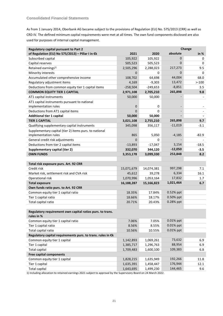As from 1 January 2014, Oberbank AG became subject to the provisions of Regulation (EU) No. 575/2013 (CRR) as well as CRD IV. The defined minimum capital requirements were met at all times. The own fund components disclosed are also used for purposes of internal capital management.

| Change<br><b>Regulatory capital pursuant to Part 2</b>      |            |            |              |          |
|-------------------------------------------------------------|------------|------------|--------------|----------|
| of Regulation (EU) No 575/2013) - Pillar I in €k            | 2021       | 2020       | absolute     | in $%$   |
| Subscribed capital                                          | 105,922    | 105,922    | 0            | 0        |
| Capital reserves                                            | 505,523    | 505,523    | 0            | 0        |
| Retained earnings <sup>1)</sup>                             | 2,505,296  | 2,288,023  | 217,273      | 9.5      |
| Minority interests                                          | 0          | 0          | 0            | 0        |
| Accumulated other comprehensive income                      | 108,702    | 64,698     | 44,004       | 68.0     |
| Regulatory adjustment items                                 | 4,169      | $-9,303$   | 13,472       | $> -100$ |
| Deductions from common equity tier 1 capital items          | $-258,504$ | $-249,653$ | $-8,851$     | 3.5      |
| <b>COMMON EQUITY TIER 1 CAPITAL</b>                         | 2,971,108  | 2,705,210  | 265,898      | 9.8      |
| AT1 capital instruments                                     | 50,000     | 50,000     |              |          |
| AT1 capital instruments pursuant to national                |            |            |              |          |
| implementation rules                                        | 0          | 0          |              |          |
| Deductions from AT1 capital items                           | 0          | 0          |              |          |
| <b>Additional tier 1 capital</b>                            | 50,000     | 50,000     |              |          |
| <b>TIER 1 CAPITAL</b>                                       | 3,021,108  | 2,755,210  | 265,898      | 9.7      |
| Qualifying supplementary capital instruments                | 345,098    | 356,117    | $-11,019$    | $-3.1$   |
| Supplementary capital (tier 2) items purs. to national      |            |            |              |          |
| implementation rules                                        | 865        | 5,050      | $-4,185$     | $-82.9$  |
| General credit risk adjustments                             | $\Omega$   | 0          |              |          |
| Deductions from tier 2 capital items                        | $-13,893$  | $-17,047$  | 3,154        | $-18.5$  |
| Supplementary capital (tier 2)                              | 332,070    | 344,120    | $-12,050$    | -3.5     |
| <b>OWN FUNDS</b>                                            | 3,353,178  | 3,099,330  | 253,848      | 8.2      |
|                                                             |            |            |              |          |
| Total risk exposure purs. Art. 92 CRR                       |            |            |              |          |
| Credit risk                                                 | 15,071,679 | 14,074,381 | 997,298      | 7.1      |
| Market risk, settlement risk and CVA risk                   | 45,612     | 39,278     | 6,334        | 16.1     |
| Operational risk                                            | 1,070,996  | 1,053,164  | 17,832       | 1.7      |
| <b>Total exposure</b>                                       | 16,188,287 | 15,166,823 | 1,021,464    | 6.7      |
| Own funds ratio purs. to Art. 92 CRR                        |            |            |              |          |
| Common equity tier 1 capital ratio                          | 18.35%     | 17.84%     | 0.52% ppt    |          |
| Tier 1 capital ratio                                        | 18.66%     | 18.17%     | 0.50% ppt    |          |
| Total capital ratio                                         | 20.71%     | 20.43%     | 0.28% ppt    |          |
|                                                             |            |            |              |          |
| Regulatory requirement own capital ratios purs. to trans.   |            |            |              |          |
| rules in %                                                  |            |            |              |          |
| Common equity tier 1 capital ratio                          | 7.06%      | 7.05%      | 0.01% ppt    |          |
| Tier 1 capital ratio                                        | 8.56%      | 8.55%      | 0.01% ppt    |          |
| Total capital ratio                                         | 10.56%     | 10.55%     | $0.01\%$ ppt |          |
| Regulatory capital requirements purs. to trans. rules in €k |            |            |              |          |
| Common equity tier 1 capital                                | 1,142,893  | 1,069,261  | 73,632       | 6.9      |
| Tier 1 capital                                              | 1,385,717  | 1,296,763  | 88,954       | 6.9      |
| <b>Total capital</b>                                        | 1,709,483  | 1,600,100  | 109,383      | 6.8      |
| <b>Free capital components</b>                              |            |            |              |          |
| Common equity tier 1 capital                                | 1,828,215  | 1,635,949  | 192,266      | 11.8     |
| Tier 1 capital                                              | 1,635,391  | 1,458,447  | 176,944      | 12.1     |
| <b>Total capital</b>                                        | 1,643,695  | 1,499,230  | 144,465      | 9.6      |

1) Including allocation to retained earnings 2021 subject to approval by the Supervisory Board on 24 March 2022.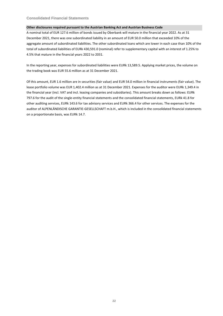# **Consolidated Financial Statements**

#### **Other disclosures required pursuant to the Austrian Banking Act and Austrian Business Code**

A nominal total of EUR 127.6 million of bonds issued by Oberbank will mature in the financial year 2022. As at 31 December 2021, there was one subordinated liability in an amount of EUR 50.0 million that exceeded 10% of the aggregate amount of subordinated liabilities. The other subordinated loans which are lower in each case than 10% of the total of subordinated liabilities of EURk 430,591.0 (nominal) refer to supplementary capital with an interest of 1.25% to 4.5% that mature in the financial years 2022 to 2031.

In the reporting year, expenses for subordinated liabilities were EURk 13,589.5. Applying market prices, the volume on the trading book was EUR 55.6 million as at 31 December 2021.

Of this amount, EUR 1.6 million are in securities (fair value) and EUR 54.0 million in financial instruments (fair value). The lease portfolio volume was EUR 1,402.4 million as at 31 December 2021. Expenses for the auditor were EURk 1,349.4 in the financial year (incl. VAT and incl. leasing companies and subsidiaries). This amount breaks down as follows: EURk 797.6 for the audit of the single-entity financial statements and the consolidated financial statements, EURk 41.8 for other auditing services, EURk 143.6 for tax advisory services and EURk 366.4 for other services. The expenses for the auditor of ALPENLÄNDISCHE GARANTIE-GESELLSCHAFT m.b.H., which is included in the consolidated financial statements on a proportionate basis, was EURk 14.7.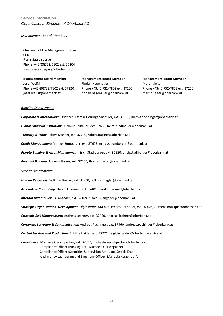# **Service Information** *Organisational Structure of Oberbank AG*

#### *Management Board Members*

# **Chairman of the Management Board CEO**

Franz Gasselsberger Phone: +43/(0)732/7802 ext. 37204 franz.gasselsberger@oberbank.at

**Management Board Member** Josef Weißl Phone +43/(0)732/7802 ext. 37220 josef.weissl@oberbank.at

**Management Board Member** Florian Hagenauer Phone +43/(0)732/7802 ext. 37206 florian.hagenauer@oberbank.at

**Management Board Member** Martin Seiter Phone +43/(0)732/7802 ext. 37250 martin.seiter@oberbank.at

#### *Banking Departments*

*Corporate & International Finance:* Dietmar Holzinger-Böcskör, ext. 37565, Dietmar.holzinger@oberbank.at

*Global Financial Institutions:* Helmut Edlbauer, ext. 32630, helmut.edlbauer@oberbank.at

*Treasury & Trade* Robert Musner, ext. 32640, robert.musner@oberbank.at

*Credit Management:* Marcus Bumberger, ext. 37603, marcus.bumberger@oberbank.at

*Private Banking & Asset Management:* Erich Stadlberger, ext. 37550, erich.stadlberger@oberbank.at

*Personal Banking:* Thomas Harrer, ext. 37260, thomas.harrer@oberbank.at

#### *Service Departments*

*Human Resources:* Volkmar Riegler, ext. 37340, volkmar.riegler@oberbank.at

*Accounts & Controlling:* Harald Hummer, ext. 32401, harald.hummer@oberbank.at

*Internal Audit:* Nikolaus Langeder, ext. 32169, nikolaus.langeder@oberbank.at

*Strategic Organisational Development, Digitisation and IT:* Clemens Bousquet, ext. 32446, Clemens.Bousquet@oberbank.at

*Strategic Risk Management:* Andreas Lechner, ext. 32420, andreas.lechner@oberbank.at

*Corporate Secretary & Communication:* Andreas Pachinger, ext. 37460, andreas.pachinger@oberbank.at

*Central Services and Production:* Brigitte Haider, ext. 37271, brigitte.haider@oberbank-service.at

*Compliance:* Michaela Gerschpacher, ext. 37397, michaela.gerschpacher@oberbank.at Compliance Officer (Banking Act): Michaela Gerschpacher Compliance Officer (Securities Supervision Act): Jana Sestak-Kradi Anti-money Laundering and Sanctions Officer: Manuela Kerzendorfer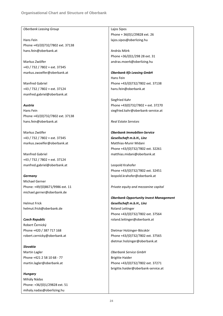#### *Oberbank Leasing Group*

Hans Fein Phone +43/(0)732/7802 ext. 37138 hans.fein@oberbank.at

Markus Zwölfer +43 / 732 / 7802 + ext. 37345 markus.zwoelfer@oberbank.at

Manfred Gabriel +43 / 732 / 7802 + ext. 37124 manfred.gabriel@oberbank.at

# *Austria*

Hans Fein Phone +43/(0)732/7802 ext. 37138 hans.fein@oberbank.at

Markus Zwölfer +43 / 732 / 7802 + ext. 37345 markus.zwoelfer@oberbank.at

Manfred Gabriel +43 / 732 / 7802 + ext. 37124 manfred.gabriel@oberbank.at

#### *Germany*

Michael Gerner Phone: +49/(0)8671/9986 ext. 11 michael.gerner@oberbank.de

Helmut Frick helmut.frick@oberbank.de

*Czech Republic* Robert Černický Phone +420 / 387 717 168 robert.cernicky@oberbank.at

*Slovakia* Martin Lagler Phone +421 2 58 10 68 - 77 martin.lagler@oberbank.at

*Hungary* Mihály Nádas Phone: +36/(0)1/29828 ext. 51 mihaly.nadas@oberlizing.hu

# Lajos Sipos

Phone + 36(0)1/29828 ext. 26 lajos.sipos@oberlizing.hu

András Mörk Phone +36/(0)1/298 28 ext. 31 andras.moerk@oberlizing.hu

*Oberbank Kfz Leasing GmbH* Hans Fein Phone +43/(0)732/7802 ext. 37138 hans.fein@oberbank.at

Siegfried Kahr Phone +43(0)732/7802 + ext. 37270 siegfried.kahr@oberbank-service.at

*Real Estate Services*

*Oberbank Immobilien-Service Gesellschaft m.b.H., Linz* Matthias-Munir Midani Phone +43/(0)732/7802 ext. 32261 matthias.midani@oberbank.at

Leopold Krahofer Phone +43/(0)732/7802 ext. 32451 leopold.krahofer@oberbank.at

*Private equity and mezzanine capital*

*Oberbank Opportunity Invest Management Gesellschaft m.b.H., Linz* Roland Leitinger Phone +43/(0)732/7802 ext. 37564 roland.leitinger@oberbank.at

Dietmar Holzinger-Böcskör Phone +43/(0)732/7802 ext. 37565 dietmar.holzinger@oberbank.at

*Oberbank Service GmbH* Brigitte Haider Phone +43/(0)732/7802 ext. 37271 brigitte.haider@oberbank-service.at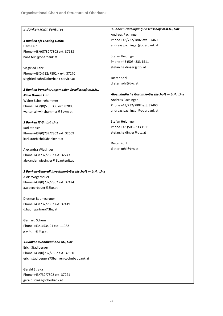| 3 Banken Joint Ventures                                | 3 Banken-Beteiligung-Gesellschaft m.b.H., Linz    |
|--------------------------------------------------------|---------------------------------------------------|
|                                                        | Andreas Pachinger                                 |
| <b>3 Banken Kfz Leasing GmbH</b>                       | Phone +43/732/7802 ext. 37460                     |
| Hans Fein                                              | andreas.pachinger@oberbank.at                     |
| Phone +43/(0)732/7802 ext. 37138                       |                                                   |
| hans.fein@oberbank.at                                  | Stefan Heidinger                                  |
|                                                        | Phone +43 (505) 333 1511                          |
| Siegfried Kahr                                         | stefan.heidinger@btv.at                           |
| Phone +43(0)732/7802 + ext. 37270                      |                                                   |
| siegfried.kahr@oberbank-service.at                     | Dieter Kohl                                       |
|                                                        | dieter.kohl@bks.at                                |
| 3 Banken Versicherungsmakler Gesellschaft m.b.H.,      |                                                   |
| <b>Main Branch Linz</b>                                | Alpenländische Garantie-Gesellschaft m.b.H., Linz |
| Walter Schwinghammer                                   | Andreas Pachinger                                 |
| Phone: +43/(0)5 05 333 ext. 82000                      | Phone +43/732/7802 ext. 37460                     |
| walter.schwinghammer@3bvm.at                           | andreas.pachinger@oberbank.at                     |
|                                                        |                                                   |
| 3 Banken IT GmbH, Linz                                 | Stefan Heidinger                                  |
| Karl Stöbich                                           | Phone +43 (505) 333 1511                          |
| Phone +43/(0)732/7802 ext. 32609                       | stefan.heidinger@btv.at                           |
| karl.stoebich@3bankenit.at                             |                                                   |
|                                                        | Dieter Kohl                                       |
| Alexandra Wiesinger                                    | dieter.kohl@bks.at                                |
| Phone +43/732/7802 ext. 32243                          |                                                   |
| alexander.wiesinger@3bankenit.at                       |                                                   |
|                                                        |                                                   |
| 3 Banken-Generali Investment-Gesellschaft m.b.H., Linz |                                                   |
| Alois Wögerbauer                                       |                                                   |
| Phone +43/(0)732/7802 ext. 37424                       |                                                   |
| a.woegerbauer@3bg.at                                   |                                                   |
|                                                        |                                                   |
| Dietmar Baumgartner                                    |                                                   |
| Phone +43/732/7802 ext. 37419                          |                                                   |
| d.baumgartner@3bg.at                                   |                                                   |
|                                                        |                                                   |
| Gerhard Schum                                          |                                                   |
| Phone +43/1/534 01 ext. 11982                          |                                                   |
| g.schum@3bg.at                                         |                                                   |
|                                                        |                                                   |
| 3-Banken Wohnbaubank AG, Linz                          |                                                   |
| Erich Stadlberger                                      |                                                   |
| Phone +43/(0)732/7802 ext. 37550                       |                                                   |
| erich.stadlberger@3banken-wohnbaubank.at               |                                                   |
|                                                        |                                                   |
| Gerald Straka                                          |                                                   |
| Phone +43/732/7802 ext. 37221                          |                                                   |
| gerald.straka@oberbank.at                              |                                                   |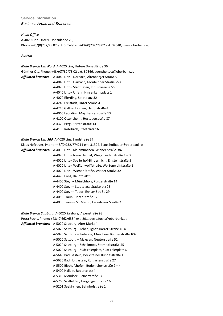# **Service Information** *Business Areas and Branches*

#### *Head Office*

A-4020 Linz, Untere Donaulände 28, Phone +43/(0)732/78 02 ext. 0; Telefax: +43/(0)732/78 02 ext. 32040; www.oberbank.at

# *Austria*

*Main Branch Linz Nord,* A-4020 Linz, Untere Donaulände 36 Günther Ott, Phone: +43/(0)732/78 02 ext. 37366, guenther.ott@oberbank.at *Affiliated branches* A-4040 Linz – Dornach, Altenberger Straße 9 A-4040 Linz – Harbach, Leonfeldner Straße 75 a A-4020 Linz – Stadthafen, Industriezeile 56 A-4040 Linz – Urfahr, Hinsenkampplatz 1 A-4070 Eferding, Stadtplatz 32 A-4240 Freistadt, Linzer Straße 4 A-4210 Gallneukirchen, Hauptstraße 4 A-4060 Leonding, Mayrhansenstraße 13 A-4100 Ottensheim, Hostauerstraße 87 A-4320 Perg, Herrenstraße 14 A-4150 Rohrbach, Stadtplatz 16

*Main Branch Linz Süd,* A-4020 Linz, Landstraße 37

Klaus Hofbauer, Phone +43/(0)732/774211 ext. 31322, klaus.hofbauer@oberbank.at *Affiliated branches:* A-4030 Linz – Kleinmünchen, Wiener Straße 382 A-4020 Linz – Neue Heimat, Wegscheider Straße 1 – 3 A-4020 Linz – Spallerhof-Bindermichl, Einsteinstraße 5 A-4020 Linz – Weißenwolffstraße, Weißenwolffstraße 1 A-4020 Linz – Wiener Straße, Wiener Straße 32 A-4470 Enns, Hauptplatz 9 A-4400 Steyr – Münichholz, Punzerstraße 14 A-4400 Steyr – Stadtplatz, Stadtplatz 25 A-4400 Steyr – Tabor, Ennser Straße 29 A-4050 Traun, Linzer Straße 12 A-4050 Traun – St. Martin, Leondinger Straße 2

*Main Branch Salzburg,* A-5020 Salzburg, Alpenstraße 98

Petra Fuchs, Phone: +43/(0)662/6384 ext. 201, petra.fuchs@oberbank.at *Affiliated branches:* A-5020 Salzburg, Alter Markt 4 A-5020 Salzburg – Lehen, Ignaz-Harrer-Straße 40 a A-5020 Salzburg – Liefering, Münchner Bundesstraße 106 A-5020 Salzburg – Maxglan, Neutorstraße 52 A-5020 Salzburg – Schallmoos, Sterneckstraße 55 A-5020 Salzburg – Südtirolerplatz, Südtirolerplatz 6 A-5640 Bad Gastein, Böcksteiner Bundesstraße 1 A-5630 Bad Hofgastein, Kurgartenstraße 27 A-5500 Bischofshofen, Bodenlehenstraße 2 – 4 A-5400 Hallein, Robertplatz 4 A-5310 Mondsee, Rainerstraße 14 A-5760 Saalfelden, Leoganger Straße 16 A-5201 Seekirchen, Bahnhofstraße 1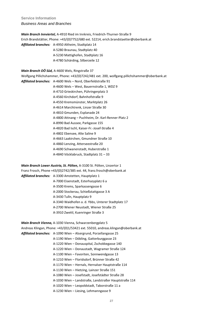**Service Information** *Business Areas and Branches*

*Main Branch Innviertel,* A-4910 Ried im Innkreis, Friedrich-Thurner-Straße 9 Erich Brandstätter, Phone: +43/(0)7752/680 ext. 52214, erich.brandstaetter@oberbank.at *Affiliated branches:* A-4950 Altheim, Stadtplatz 14

> A-5280 Braunau, Stadtplatz 40 A-5230 Mattighofen, Stadtplatz 16 A-4780 Schärding, Silberzeile 12

#### *Main Branch OÖ Süd,* A-4600 Wels, Ringstraße 37

Wolfgang Pillichshammer, Phone: +43/(0)7242/481 ext. 200, wolfgang.pillichshammer@oberbank.at

*Affiliated branches:* A-4600 Wels – Nord, Oberfeldstraße 91

A-4600 Wels – West, Bauernstraße 1, WDZ 9 A-4710 Grieskirchen, Pühringerplatz 3

- A-4560 Kirchdorf, Bahnhofstraße 9
- A-4550 Kremsmünster, Marktplatz 26
- A-4614 Marchtrenk, Linzer Straße 30
- A-4810 Gmunden, Esplanade 24
- A-4800 Attnang Puchheim, Dr. Karl-Renner-Platz 2
- A-8990 Bad Aussee, Parkgasse 155
- A-4820 Bad Ischl, Kaiser-Fr.-Josef-Straße 4
- A-4802 Ebensee, Alte Saline 9
- A-4663 Laakirchen, Gmundner Straße 10
- A-4860 Lenzing, Atterseestraße 20
- A-4690 Schwanenstadt, Huberstraße 1
- A-4840 Vöcklabruck, Stadtplatz 31 33

*Main Branch Lower Austria, St. Pölten,* A-3100 St. Pölten, Linzertor 1

Franz Frosch, Phone +43/(0)2742/385 ext. 44, franz.frosch@oberbank.at

- *Affiliated branches:* A-3300 Amstetten, Hauptplatz 1
	- A-7000 Eisenstadt, Esterhazyplatz 6 a
	- A-3500 Krems, Sparkassengasse 6
	- A-2000 Stockerau, Schießstattgasse 3 A
	- A-3430 Tulln, Hauptplatz 9
	- A-3340 Waidhofen a. d. Ybbs, Unterer Stadtplatz 17
	- A-2700 Wiener Neustadt, Wiener Straße 25
	- A-3910 Zwettl, Kuenringer Straße 3

*Main Branch Vienna,* A-1030 Vienna, Schwarzenbergplatz 5 Andreas Klingan, Phone: +43/(0)1/53421 ext. 55010, andreas.klingan@oberbank.at *Affiliated branches:* A-1090 Wien – Alsergrund, Porzellangasse 25 A-1190 Wien – Döbling, Gatterburggasse 23 A-1220 Wien – Donauspital, Zschokkegasse 140 A-1220 Wien – Donaustadt, Wagramer Straße 124 A-1100 Wien – Favoriten, Sonnwendgasse 13 A-1210 Wien – Floridsdorf, Brünner Straße 42 A-1170 Wien – Hernals, Hernalser Hauptstraße 114 A-1130 Wien – Hietzing, Lainzer Straße 151 A-1080 Wien – Josefstadt, Josefstädter Straße 28 A-1030 Wien – Landstraße, Landstraßer Hauptstraße 114 A-1020 Wien – Leopoldstadt, Taborstraße 11 a A-1230 Wien – Liesing, Lehmanngasse 9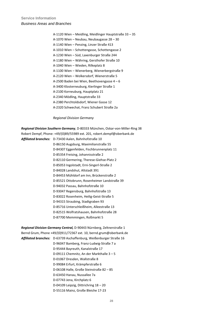A-1120 Wien – Meidling, Meidlinger Hauptstraße 33 – 35 A-1070 Wien – Neubau, Neubaugasse 28 – 30 A-1140 Wien – Penzing, Linzer Straße 413 A-1010 Wien – Schottengasse, Schottengasse 2 A-1230 Wien – Süd, Laxenburger Straße 244 A-1180 Wien – Währing, Gersthofer Straße 10 A-1040 Wien – Wieden, Rilkeplatz 8 A-1100 Wien – Wienerberg, Wienerbergstraße 9 A-2120 Wien – Wolkersdorf, Wienerstraße 5 A-2500 Baden bei Wien, Beethovengasse 4 – 6 A-3400 Klosterneuburg, Kierlinger Straße 1 A-2100 Korneuburg, Hauptplatz 21 A-2340 Mödling, Hauptstraße 33 A-2380 Perchtoldsdorf, Wiener Gasse 12 A-2320 Schwechat, Franz Schubert Straße 2a

*Regional Division Germany*

*Regional Division Southern Germany*, D-80333 München, Oskar-von-Miller-Ring 38 Robert Dempf, Phone: +49/(0)89/55989 ext. 201, robert.dempf@oberbank.de *Affiliated branches:* D-73430 Aalen, Bahnhofstraße 10 D-86150 Augsburg, Maximilianstraße 55

D-84307 Eggenfelden, Fischbrunnenplatz 11 D-85354 Freising, Johannisstraße 2 D-82110 Germering, Therese-Giehse-Platz 2 D-85053 Ingolstadt, Erni-Singerl-Straße 2 D-84028 Landshut, Altstadt 391 D-84453 Mühldorf am Inn, Brückenstraße 2 D-85521 Ottobrunn, Rosenheimer Landstraße 39 D-94032 Passau, Bahnhofstraße 10 D-93047 Regensburg, Bahnhofstraße 13 D-83022 Rosenheim, Heilig-Geist-Straße 5 D-94315 Straubing, Stadtgraben 93 D-85716 Unterschleißheim, Alleestraße 13 D-82515 Wolfratshausen, Bahnhofstraße 28 D-87700 Memmingen, Roßmarkt 5

*Regional Division Germany Central,* D-90443 Nürnberg, Zeltnerstraße 1 Bernd Grum, Phone +49/(0)911/72367 ext. 10, bernd.grum@oberbank.de *Affiliated branches:* D-63739 Aschaffenburg, Weißenburger Straße 16 D-96047 Bamberg, Franz-Ludwig-Straße 7 a D-95444 Bayreuth, Kanalstraße 17 D-09111 Chemnitz, An der Markthalle 3 – 5 D-01067 Dresden, Wallstraße 8 D-99084 Erfurt, Krämpferstraße 6 D-06108 Halle, Große Steinstraße 82 – 85 D-63450 Hanau, Nussallee 7a D-07743 Jena, Kirchplatz 6 D-04109 Leipzig, Dittrichring 18 – 20 D-55116 Mainz, Große Bleiche 17-23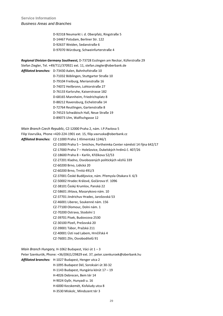**Service Information** *Business Areas and Branches*

> D-92318 Neumarkt i. d. Oberpfalz, Ringstraße 5 D-14467 Potsdam, Berliner Str. 122 D-92637 Weiden, Sedanstraße 6 D-97070 Würzburg, Schweinfurterstraße 4

*Regional Division Germany Southwest,* D-73728 Esslingen am Neckar, Küferstraße 29 Stefan Ziegler, Tel. +49/711/370921 ext. 11, stefan.ziegler@oberbank.de *Affiliated branches:* D-73430 Aalen, Bahnhofstraße 10 D-71032 Böblingen, Stuttgarter Straße 10 D-79104 Freiburg, Merianstraße 16 D-74072 Heilbronn, Lohtorstraße 27 D-76133 Karlsruhe, Kaiserstrasse 182 D-68165 Mannheim, Friedrichsplatz 8 D-88212 Ravensburg, Eichelstraße 14 D-72764 Reutlingen, Gartenstraße 8 D-74523 Schwäbisch Hall, Neue Straße 19 D-89073 Ulm, Walfischgasse 12

*Main Branch Czech Republic,* CZ-12000 Praha 2, nám. I.P.Pavlova 5

Filip Vavruška, Phone +420-224-1901 ext. 15, filip.vavruska@oberbank.cz *Affiliated Branches:* CZ-11000 Praha 1 Klimentská 1246/1 CZ-15000 Praha 5 – Smíchov, Portheimka Center náměstí 14 října 642/17 CZ-17000 Praha 7 – Holešovice, Dukelských hrdinů č. 407/26 CZ-18600 Praha 8 – Karlín, Křižíkova 52/53 CZ-27201 Kladno, Osvobozených politických vězňů 339 CZ-60200 Brno, Lidická 20 CZ-60200 Brno, Trnitá 491/3 CZ-37001 České Budějovice, nám. Přemysla Otakara II. 6/3 CZ-50002 Hradec Králové, Gočárova tř. 1096 CZ-38101 Český Krumlov, Panská 22 CZ-58601 Jihlava, Masarykovo nám. 10 CZ-37701 Jindrichuv Hradec, Jarošovská 53 CZ-46001 Liberec, Soukenné nám. 156 CZ-77100 Olomouc, Dolni nám. 1 CZ-70200 Ostrava, Stodolní 1 CZ-39701 Písek, Budovcova 2530 CZ-30100 Plzeň, Prešovská 20 CZ-39001 Tábor, Pražská 211 CZ-40001 Ústí nad Labem, Hrnčířská 4 CZ-76001 Zlín, Osvoboditelů 91

*Main Branch Hungary,* H-1062 Budapest, Váci út 1 – 3 Peter Szenkurök, Phone: +36/(06)1/29829 ext. 37, peter.szenkuroek@oberbank.hu *Affiliated branches:* H-1027 Budapest, Henger utca 2 H-1095 [Budapest Dél,](http://intra-obk/asp/gspages_intra/gsWir.asp?gs=be) Soroksári út 30-32 H-1143 Budapest, Hungária körút 17 – 19 H-4026 Debrecen, Bem tér 14 H-9024 Gyõr, Hunyadi u. 16 H-6000 Kecskemét, Kisfaludy utca 8 H-3530 Miskolc¸ Mindszent tér 3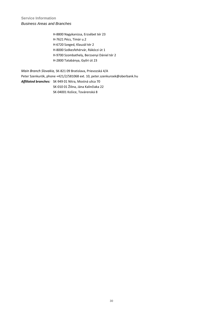H-8800 Nagykanizsa, Erzsébet tér 23 H-7621 Pécs, Tímár u.2 H-6720 Szeged, Klauzál tér 2 H-8000 Székesfehérvár, Rákóczi út 1 H-9700 Szombathely, Berzsenyi Dániel tér 2 H-2800 Tatabánya, Győri út 23

*Main Branch Slovakia,* SK-821 09 Bratislava, Prievozská 4/A Peter Szenkurök, phone +421/2/581068 ext. 10, peter.szenkuroek@oberbank.hu *Affiliated branches:* SK-949 01 Nitra, Mostná ulica 70 SK-010 01 Žilina, Jána Kalinčiaka 22 SK-04001 Košice, Továrenská 8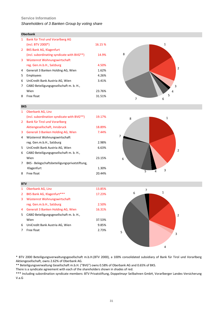# **Service Information**

# *Shareholders of 3 Banken Group by voting share*

|             | <b>Oberbank</b>                                         |         |  |  |  |  |
|-------------|---------------------------------------------------------|---------|--|--|--|--|
| 1           | Bank für Tirol und Vorarlberg AG                        |         |  |  |  |  |
|             | $(incl. BTV 2000*)$                                     | 16.15 % |  |  |  |  |
| $2^{\circ}$ | <b>BKS Bank AG, Klagenfurt</b>                          |         |  |  |  |  |
|             | (incl. subordinating syndicate with BVG <sup>**</sup> ) | 14.9%   |  |  |  |  |
| 3           | Wüstenrot Wohnungswirtschaft                            |         |  |  |  |  |
|             | reg. Gen.m.b.H., Salzburg                               | 4.50%   |  |  |  |  |
| 4           | Generali 3 Banken Holding AG, Wien                      | 1.62%   |  |  |  |  |
| 5           | Employees                                               | 4.26%   |  |  |  |  |
| 6           | UniCredit Bank Austria AG, Wien                         | 3.41%   |  |  |  |  |
| 7           | CABO Beteiligungsgesellschaft m. b. H.,                 |         |  |  |  |  |
|             | Wien                                                    | 23.76%  |  |  |  |  |
| 8           | Free float                                              | 31.51%  |  |  |  |  |



| 1            | Oberbank AG, Linz                                       |        |  |
|--------------|---------------------------------------------------------|--------|--|
|              | (incl. subordination syndicate with BVG <sup>**</sup> ) | 19.17% |  |
| $\mathbf{2}$ | Bank für Tirol und Vorarlberg                           |        |  |
|              | Aktiengesellschaft, Innsbruck                           | 18.89% |  |
| 3            | Generali 3 Banken Holding AG, Wien                      | 7.44%  |  |
| 4            | Wüstenrot Wohnungswirtschaft                            |        |  |
|              | reg. Gen.m.b.H., Salzburg                               | 2.98%  |  |
| 5.           | UniCredit Bank Austria AG, Wien                         | 6.63%  |  |
| 6            | CABO Beteiligungsgesellschaft m. b. H.,                 |        |  |
|              | Wien                                                    | 23.15% |  |
| 7            | BKS - Belegschaftsbeteiligungsprivatstiftung,           |        |  |
|              | Klagenfurt                                              | 1.30%  |  |
| 8            | Free float                                              | 20.44% |  |



# **BTV**

**BKS**

| 1  | Oberbank AG, Linz                       | 13.85% |
|----|-----------------------------------------|--------|
| 2  | BKS Bank AG, Klagenfurt***              | 17.23% |
| 3  | Wüstenrot Wohnungswirtschaft            |        |
|    | reg. Gen.m.b.H., Salzburg               | 2.50%  |
| 4  | Generali 3 Banken Holding AG, Wien      | 16.31% |
| 5. | CABO Beteiligungsgesellschaft m. b. H., |        |
|    | Wien                                    | 37.53% |
| 6  | UniCredit Bank Austria AG, Wien         | 9.85%  |
|    | Free float                              | 2.73%  |



\* BTV 2000 Beteiligungsverwaltungsgesellschaft m.b.H.(BTV 2000), a 100% consolidated subsidiary of Bank für Tirol und Vorarlberg Aktiengesellschaft, owns 2.62% of Oberbank AG.

\*\* Beteiligungsverwaltung Gesellschaft m.b.H. ("BVG") owns 0.58% of Oberbank AG and 0.65% of BKS.

There is a syndicate agreement with each of the shareholders shown in shades of red.

\*\*\* Including subordination syndicate members: BTV Privatstiftung, Doppelmayr Seilbahnen GmbH, Vorarlberger Landes-Versicherung V.a.G